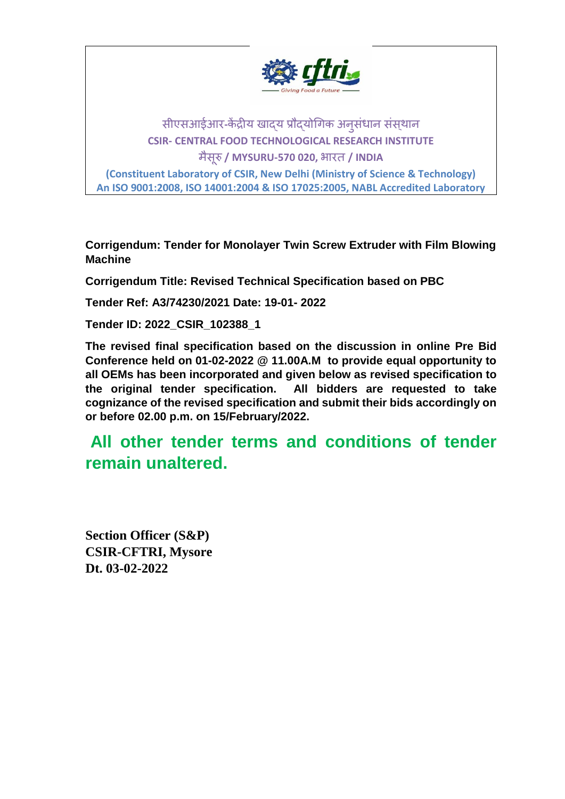

सीएसआईआर**-**कें द्रीय खाद्य प्रौद्योगिक अनुसंधान संसथान् **CSIR- CENTRAL FOOD TECHNOLOGICAL RESEARCH INSTITUTE** मैसूरु **/ MYSURU-570 020,** भारत **/ INDIA**

**(Constituent Laboratory of CSIR, New Delhi (Ministry of Science & Technology) An ISO 9001:2008, ISO 14001:2004 & ISO 17025:2005, NABL Accredited Laboratory**

**Corrigendum: Tender for Monolayer Twin Screw Extruder with Film Blowing Machine**

**Corrigendum Title: Revised Technical Specification based on PBC**

**Tender Ref: A3/74230/2021 Date: 19-01- 2022**

**Tender ID: 2022\_CSIR\_102388\_1**

**The revised final specification based on the discussion in online Pre Bid Conference held on 01-02-2022 @ 11.00A.M to provide equal opportunity to all OEMs has been incorporated and given below as revised specification to the original tender specification. All bidders are requested to take cognizance of the revised specification and submit their bids accordingly on or before 02.00 p.m. on 15/February/2022.** 

**All other tender terms and conditions of tender remain unaltered.**

**Section Officer (S&P) CSIR-CFTRI, Mysore Dt. 03-02-2022**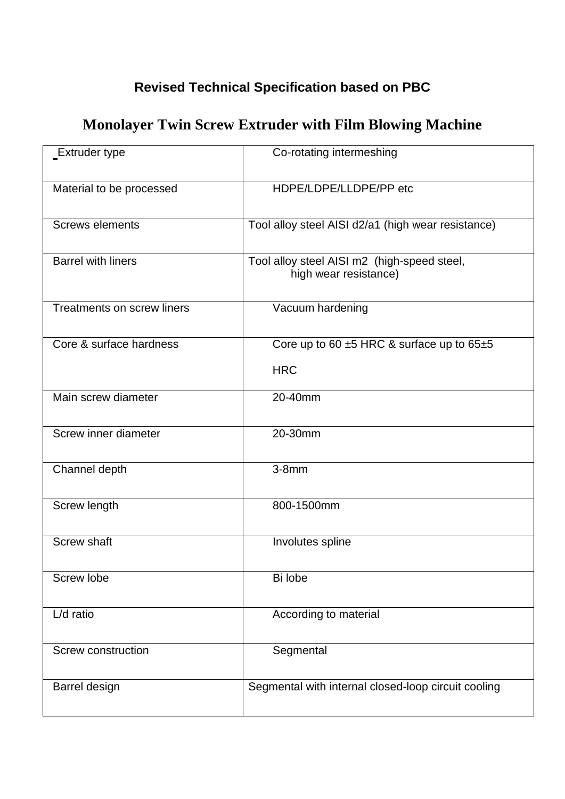## **Revised Technical Specification based on PBC**

## **Monolayer Twin Screw Extruder with Film Blowing Machine**

| <b>Extruder type</b>       | Co-rotating intermeshing                                             |
|----------------------------|----------------------------------------------------------------------|
| Material to be processed   | HDPE/LDPE/LLDPE/PP etc                                               |
| <b>Screws elements</b>     | Tool alloy steel AISI d2/a1 (high wear resistance)                   |
| <b>Barrel with liners</b>  | Tool alloy steel AISI m2 (high-speed steel,<br>high wear resistance) |
| Treatments on screw liners | Vacuum hardening                                                     |
| Core & surface hardness    | Core up to 60 $\pm$ 5 HRC & surface up to 65 $\pm$ 5                 |
|                            | <b>HRC</b>                                                           |
| Main screw diameter        | 20-40mm                                                              |
| Screw inner diameter       | 20-30mm                                                              |
| Channel depth              | $3-8mm$                                                              |
| Screw length               | 800-1500mm                                                           |
| <b>Screw shaft</b>         | Involutes spline                                                     |
| Screw lobe                 | Bi lobe                                                              |
| L/d ratio                  | According to material                                                |
| <b>Screw construction</b>  | Segmental                                                            |
| Barrel design              | Segmental with internal closed-loop circuit cooling                  |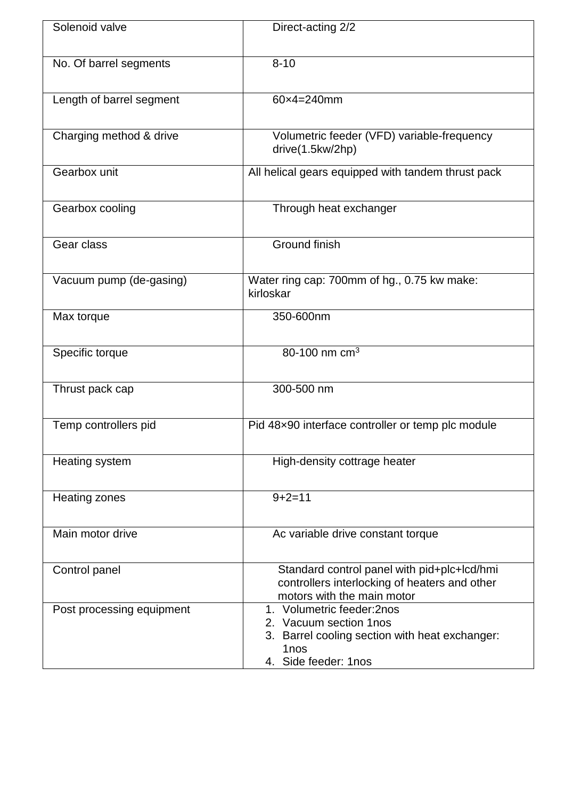| Solenoid valve            | Direct-acting 2/2                                                                                                                                  |
|---------------------------|----------------------------------------------------------------------------------------------------------------------------------------------------|
| No. Of barrel segments    | $8 - 10$                                                                                                                                           |
| Length of barrel segment  | $60x4 = 240mm$                                                                                                                                     |
| Charging method & drive   | Volumetric feeder (VFD) variable-frequency<br>drive(1.5kw/2hp)                                                                                     |
| Gearbox unit              | All helical gears equipped with tandem thrust pack                                                                                                 |
| Gearbox cooling           | Through heat exchanger                                                                                                                             |
| Gear class                | <b>Ground finish</b>                                                                                                                               |
| Vacuum pump (de-gasing)   | Water ring cap: 700mm of hg., 0.75 kw make:<br>kirloskar                                                                                           |
| Max torque                | 350-600nm                                                                                                                                          |
| Specific torque           | 80-100 nm cm <sup>3</sup>                                                                                                                          |
| Thrust pack cap           | 300-500 nm                                                                                                                                         |
| Temp controllers pid      | Pid 48x90 interface controller or temp plc module                                                                                                  |
| Heating system            | High-density cottrage heater                                                                                                                       |
| Heating zones             | $9+2=11$                                                                                                                                           |
| Main motor drive          | Ac variable drive constant torque                                                                                                                  |
| Control panel             | Standard control panel with pid+plc+lcd/hmi<br>controllers interlocking of heaters and other<br>motors with the main motor                         |
| Post processing equipment | 1. Volumetric feeder: 2nos<br>2. Vacuum section 1nos<br>3. Barrel cooling section with heat exchanger:<br>1 <sub>nos</sub><br>4. Side feeder: 1nos |